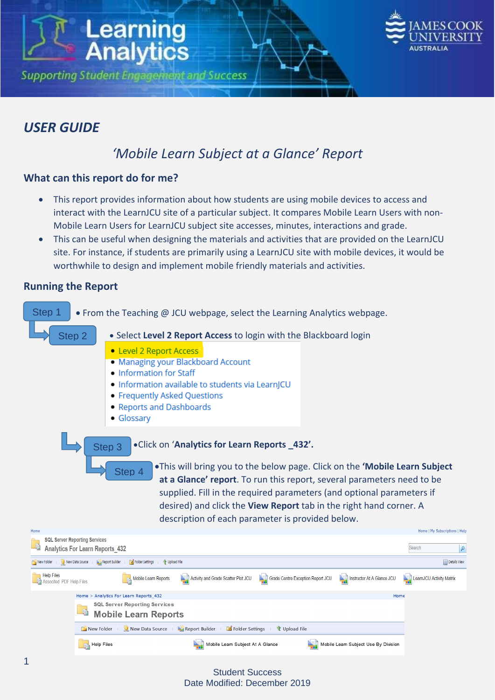



## *USER GUIDE*

# *'Mobile Learn Subject at a Glance' Report*

## **What can this report do for me?**

- This report provides information about how students are using mobile devices to access and interact with the LearnJCU site of a particular subject. It compares Mobile Learn Users with non-Mobile Learn Users for LearnJCU subject site accesses, minutes, interactions and grade.
- This can be useful when designing the materials and activities that are provided on the LearnJCU site. For instance, if students are primarily using a LearnJCU site with mobile devices, it would be worthwhile to design and implement mobile friendly materials and activities.

## **Running the Report**



#### Student Success Date Modified: December 2019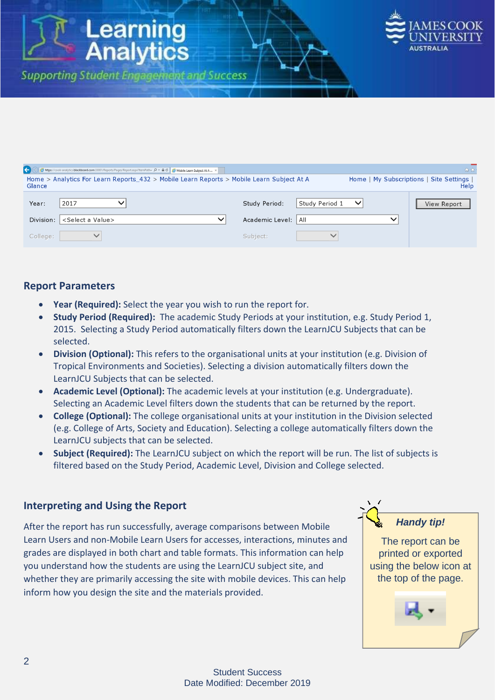

| Home > Analytics For Learn Reports 432 > Mobile Learn Reports > Mobile Learn Subject At A<br>Glance |                     |                | Home   My Subscriptions   Site Settings  <br>Help |
|-----------------------------------------------------------------------------------------------------|---------------------|----------------|---------------------------------------------------|
| 2017<br>Year:                                                                                       | Study Period:       | Study Period 1 | View Report                                       |
| Division:<br><select a="" value=""></select>                                                        | Academic Level: All |                |                                                   |
| College:                                                                                            | Subject:            |                |                                                   |

## **Report Parameters**

- **Year (Required):** Select the year you wish to run the report for.
- **Study Period (Required):** The academic Study Periods at your institution, e.g. Study Period 1, 2015. Selecting a Study Period automatically filters down the LearnJCU Subjects that can be selected.
- **Division (Optional):** This refers to the organisational units at your institution (e.g. Division of Tropical Environments and Societies). Selecting a division automatically filters down the LearnJCU Subjects that can be selected.
- **Academic Level (Optional):** The academic levels at your institution (e.g. Undergraduate). Selecting an Academic Level filters down the students that can be returned by the report.
- **College (Optional):** The college organisational units at your institution in the Division selected (e.g. College of Arts, Society and Education). Selecting a college automatically filters down the LearnJCU subjects that can be selected.
- **Subject (Required):** The LearnJCU subject on which the report will be run. The list of subjects is filtered based on the Study Period, Academic Level, Division and College selected.

## **Interpreting and Using the Report**

After the report has run successfully, average comparisons between Mobile Learn Users and non-Mobile Learn Users for accesses, interactions, minutes and grades are displayed in both chart and table formats. This information can help you understand how the students are using the LearnJCU subject site, and whether they are primarily accessing the site with mobile devices. This can help inform how you design the site and the materials provided.

## *Handy tip!*

The report can be printed or exported using the below icon at the top of the page.